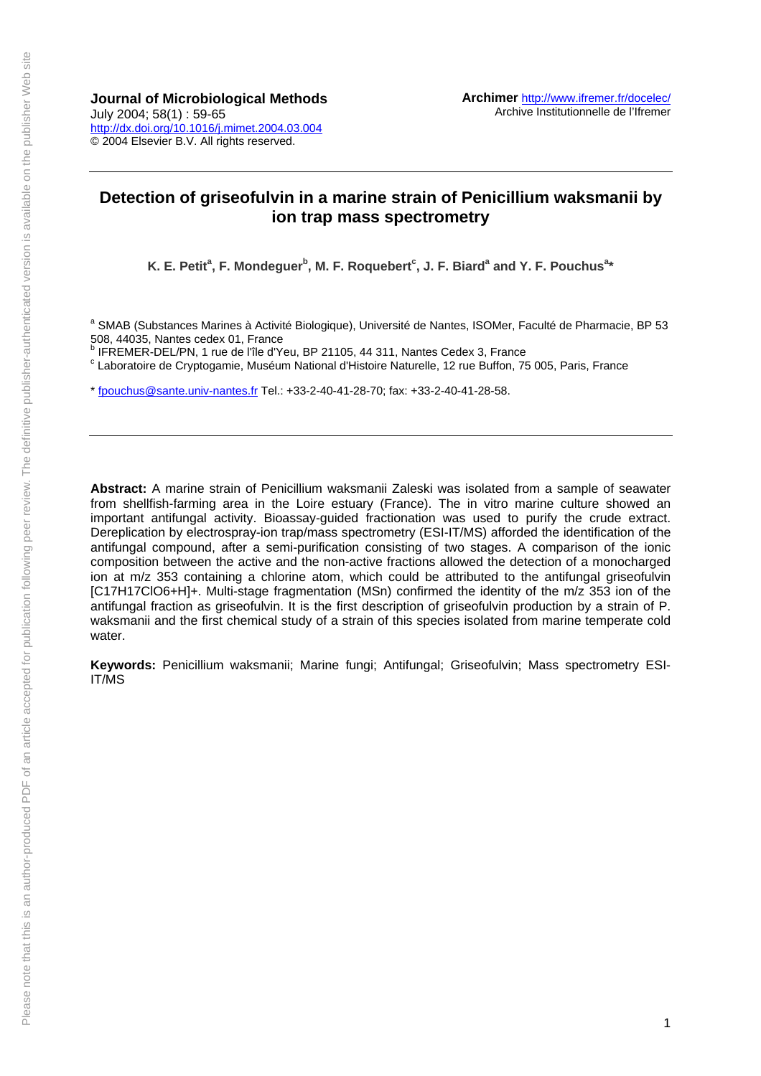**Journal of Microbiological Methods**  July 2004; 58(1) : 59-65 http://dx.doi.org/10.1016/j.mimet.2004.03.004 © 2004 Elsevier B.V. All rights reserved.

## **Detection of griseofulvin in a marine strain of Penicillium waksmanii by ion trap mass spectrometry**

K. E. Petit<sup>a</sup>, F. Mondeguer<sup>b</sup>, M. F. Roquebert<sup>c</sup>, J. F. Biard<sup>a</sup> and Y. F. Pouchus<sup>a</sup>\*

<sup>a</sup> SMAB (Substances Marines à Activité Biologique), Université de Nantes, ISOMer, Faculté de Pharmacie, BP 53 508, 44035, Nantes cedex 01, France<br><sup>b</sup> IEBEMER, DEL/DN, 4 rue de l'île d'Yo

<sup>o</sup> IFREMER-DEL/PN, 1 rue de l'île d'Yeu, BP 21105, 44 311, Nantes Cedex 3, France<br><sup>c</sup> Leberateire de Cryptogemie, Mueéum National d'Histoire Naturelle, 12 rue Buffen, 75

Laboratoire de Cryptogamie, Muséum National d'Histoire Naturelle, 12 rue Buffon, 75 005, Paris, France

\* fpouchus@sante.univ-nantes.fr Tel.: +33-2-40-41-28-70; fax: +33-2-40-41-28-58.

**Abstract:** A marine strain of Penicillium waksmanii Zaleski was isolated from a sample of seawater from shellfish-farming area in the Loire estuary (France). The in vitro marine culture showed an important antifungal activity. Bioassay-guided fractionation was used to purify the crude extract. Dereplication by electrospray-ion trap/mass spectrometry (ESI-IT/MS) afforded the identification of the antifungal compound, after a semi-purification consisting of two stages. A comparison of the ionic composition between the active and the non-active fractions allowed the detection of a monocharged ion at m/z 353 containing a chlorine atom, which could be attributed to the antifungal griseofulvin [C17H17ClO6+H]+. Multi-stage fragmentation (MSn) confirmed the identity of the m/z 353 ion of the antifungal fraction as griseofulvin. It is the first description of griseofulvin production by a strain of P. waksmanii and the first chemical study of a strain of this species isolated from marine temperate cold water.

**Keywords:** Penicillium waksmanii; Marine fungi; Antifungal; Griseofulvin; Mass spectrometry ESI-IT/MS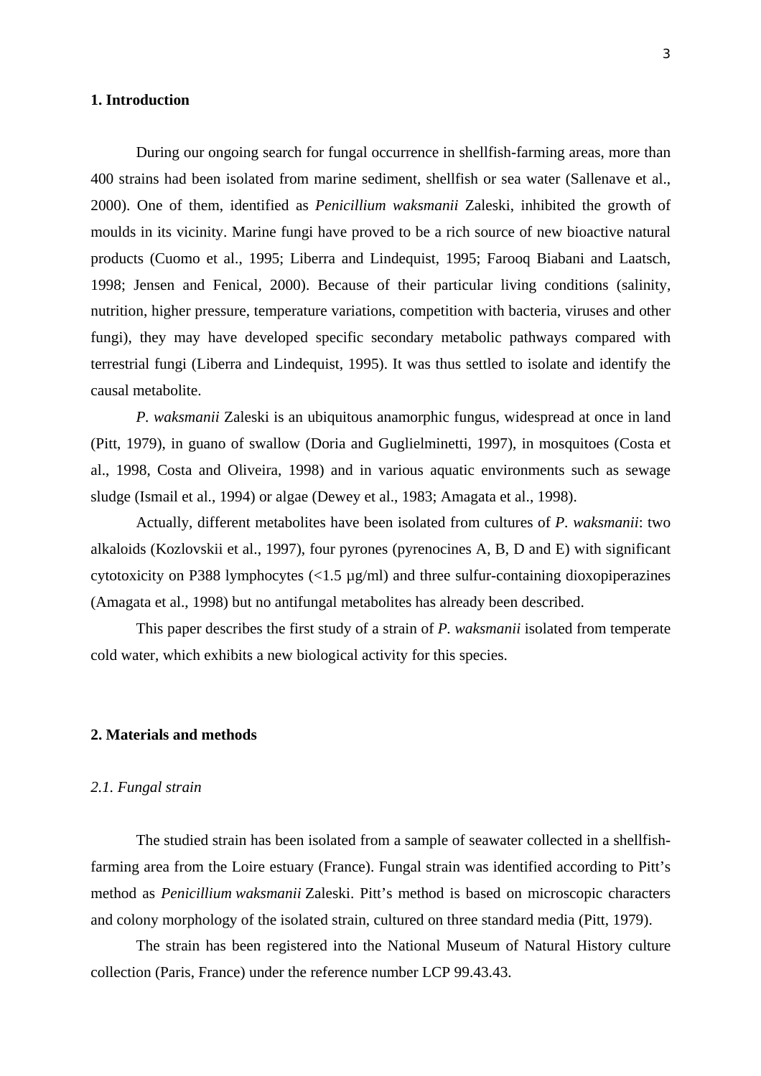## **1. Introduction**

During our ongoing search for fungal occurrence in shellfish-farming areas, more than 400 strains had been isolated from marine sediment, shellfish or sea water (Sallenave et al., 2000). One of them, identified as *Penicillium waksmanii* Zaleski, inhibited the growth of moulds in its vicinity. Marine fungi have proved to be a rich source of new bioactive natural products (Cuomo et al., 1995; Liberra and Lindequist, 1995; Farooq Biabani and Laatsch, 1998; Jensen and Fenical, 2000). Because of their particular living conditions (salinity, nutrition, higher pressure, temperature variations, competition with bacteria, viruses and other fungi), they may have developed specific secondary metabolic pathways compared with terrestrial fungi (Liberra and Lindequist, 1995). It was thus settled to isolate and identify the causal metabolite.

*P. waksmanii* Zaleski is an ubiquitous anamorphic fungus, widespread at once in land (Pitt, 1979), in guano of swallow (Doria and Guglielminetti, 1997), in mosquitoes (Costa et al., 1998, Costa and Oliveira, 1998) and in various aquatic environments such as sewage sludge (Ismail et al., 1994) or algae (Dewey et al., 1983; Amagata et al., 1998).

Actually, different metabolites have been isolated from cultures of *P. waksmanii*: two alkaloids (Kozlovskii et al., 1997), four pyrones (pyrenocines A, B, D and E) with significant cytotoxicity on P388 lymphocytes (<1.5 µg/ml) and three sulfur-containing dioxopiperazines (Amagata et al., 1998) but no antifungal metabolites has already been described.

This paper describes the first study of a strain of *P. waksmanii* isolated from temperate cold water, which exhibits a new biological activity for this species.

## **2. Materials and methods**

## *2.1. Fungal strain*

The studied strain has been isolated from a sample of seawater collected in a shellfishfarming area from the Loire estuary (France). Fungal strain was identified according to Pitt's method as *Penicillium waksmanii* Zaleski. Pitt's method is based on microscopic characters and colony morphology of the isolated strain, cultured on three standard media (Pitt, 1979).

The strain has been registered into the National Museum of Natural History culture collection (Paris, France) under the reference number LCP 99.43.43.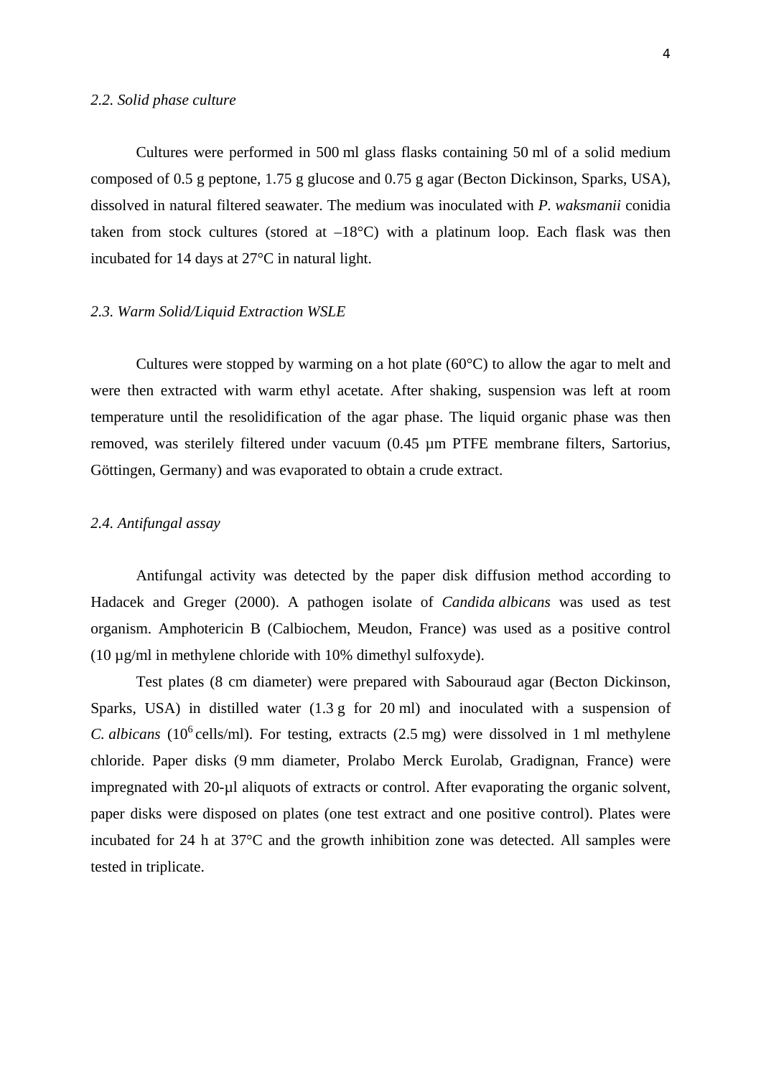#### *2.2. Solid phase culture*

Cultures were performed in 500 ml glass flasks containing 50 ml of a solid medium composed of 0.5 g peptone, 1.75 g glucose and 0.75 g agar (Becton Dickinson, Sparks, USA), dissolved in natural filtered seawater. The medium was inoculated with *P. waksmanii* conidia taken from stock cultures (stored at  $-18^{\circ}$ C) with a platinum loop. Each flask was then incubated for 14 days at 27°C in natural light.

#### *2.3. Warm Solid/Liquid Extraction WSLE*

Cultures were stopped by warming on a hot plate  $(60^{\circ}C)$  to allow the agar to melt and were then extracted with warm ethyl acetate. After shaking, suspension was left at room temperature until the resolidification of the agar phase. The liquid organic phase was then removed, was sterilely filtered under vacuum (0.45 µm PTFE membrane filters, Sartorius, Göttingen, Germany) and was evaporated to obtain a crude extract.

## *2.4. Antifungal assay*

Antifungal activity was detected by the paper disk diffusion method according to Hadacek and Greger (2000). A pathogen isolate of *Candida albicans* was used as test organism. Amphotericin B (Calbiochem, Meudon, France) was used as a positive control (10 µg/ml in methylene chloride with 10% dimethyl sulfoxyde).

Test plates (8 cm diameter) were prepared with Sabouraud agar (Becton Dickinson, Sparks, USA) in distilled water (1.3 g for 20 ml) and inoculated with a suspension of *C. albicans* (10<sup>6</sup> cells/ml). For testing, extracts (2.5 mg) were dissolved in 1 ml methylene chloride. Paper disks (9 mm diameter, Prolabo Merck Eurolab, Gradignan, France) were impregnated with 20-µl aliquots of extracts or control. After evaporating the organic solvent, paper disks were disposed on plates (one test extract and one positive control). Plates were incubated for 24 h at 37°C and the growth inhibition zone was detected. All samples were tested in triplicate.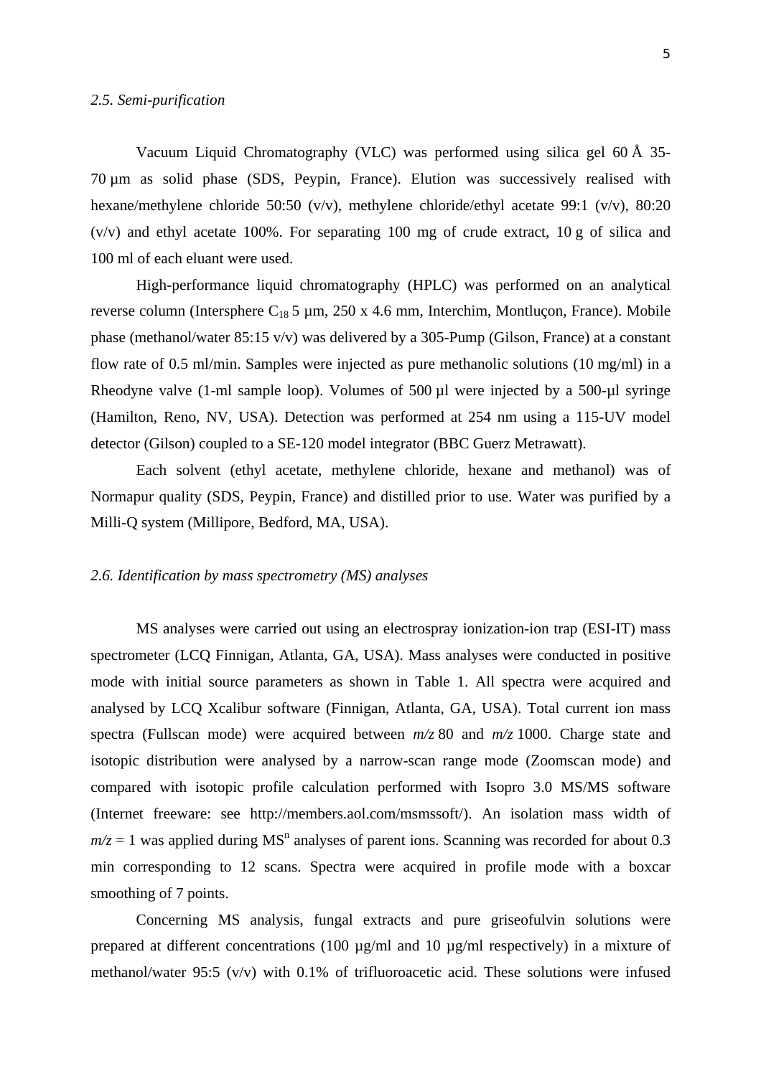Vacuum Liquid Chromatography (VLC) was performed using silica gel 60 Å 35- 70 µm as solid phase (SDS, Peypin, France). Elution was successively realised with hexane/methylene chloride 50:50 (v/v), methylene chloride/ethyl acetate 99:1 (v/v), 80:20 (v/v) and ethyl acetate 100%. For separating 100 mg of crude extract, 10 g of silica and 100 ml of each eluant were used.

High-performance liquid chromatography (HPLC) was performed on an analytical reverse column (Intersphere  $C_{18}$  5 µm, 250 x 4.6 mm, Interchim, Montluçon, France). Mobile phase (methanol/water 85:15 v/v) was delivered by a 305-Pump (Gilson, France) at a constant flow rate of 0.5 ml/min. Samples were injected as pure methanolic solutions (10 mg/ml) in a Rheodyne valve (1-ml sample loop). Volumes of  $500 \mu l$  were injected by a  $500 \mu l$  syringe (Hamilton, Reno, NV, USA). Detection was performed at 254 nm using a 115-UV model detector (Gilson) coupled to a SE-120 model integrator (BBC Guerz Metrawatt).

Each solvent (ethyl acetate, methylene chloride, hexane and methanol) was of Normapur quality (SDS, Peypin, France) and distilled prior to use. Water was purified by a Milli-Q system (Millipore, Bedford, MA, USA).

## *2.6. Identification by mass spectrometry (MS) analyses*

MS analyses were carried out using an electrospray ionization-ion trap (ESI-IT) mass spectrometer (LCQ Finnigan, Atlanta, GA, USA). Mass analyses were conducted in positive mode with initial source parameters as shown in Table 1. All spectra were acquired and analysed by LCQ Xcalibur software (Finnigan, Atlanta, GA, USA). Total current ion mass spectra (Fullscan mode) were acquired between *m/z* 80 and *m/z* 1000. Charge state and isotopic distribution were analysed by a narrow-scan range mode (Zoomscan mode) and compared with isotopic profile calculation performed with Isopro 3.0 MS/MS software (Internet freeware: see http://members.aol.com/msmssoft/). An isolation mass width of  $m/z = 1$  was applied during MS<sup>n</sup> analyses of parent ions. Scanning was recorded for about 0.3 min corresponding to 12 scans. Spectra were acquired in profile mode with a boxcar smoothing of 7 points.

Concerning MS analysis, fungal extracts and pure griseofulvin solutions were prepared at different concentrations (100 µg/ml and 10 µg/ml respectively) in a mixture of methanol/water 95:5 (v/v) with 0.1% of trifluoroacetic acid. These solutions were infused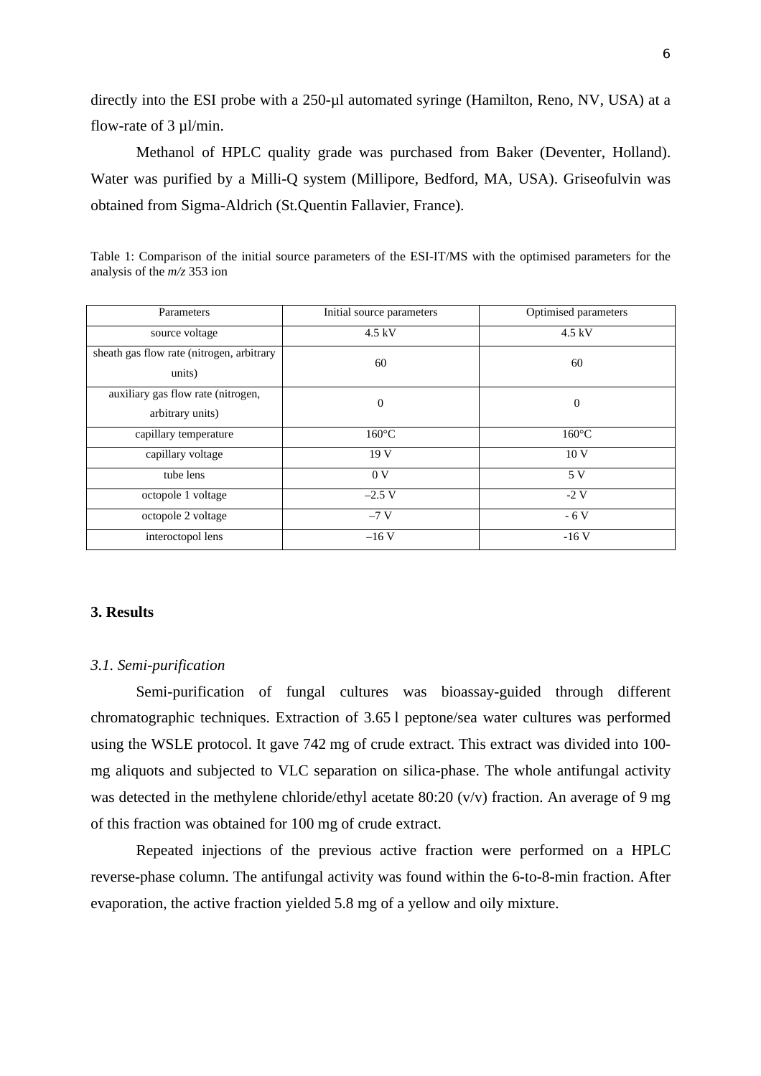directly into the ESI probe with a 250-µl automated syringe (Hamilton, Reno, NV, USA) at a flow-rate of  $3 \mu$ l/min.

Methanol of HPLC quality grade was purchased from Baker (Deventer, Holland). Water was purified by a Milli-Q system (Millipore, Bedford, MA, USA). Griseofulvin was obtained from Sigma-Aldrich (St.Quentin Fallavier, France).

| Table 1: Comparison of the initial source parameters of the ESI-IT/MS with the optimised parameters for the |  |  |
|-------------------------------------------------------------------------------------------------------------|--|--|
| analysis of the $m/z$ 353 ion                                                                               |  |  |

| Parameters                                             | Initial source parameters | Optimised parameters |
|--------------------------------------------------------|---------------------------|----------------------|
| source voltage                                         | $4.5$ kV                  | $4.5$ kV             |
| sheath gas flow rate (nitrogen, arbitrary<br>units)    | 60                        | 60                   |
| auxiliary gas flow rate (nitrogen,<br>arbitrary units) | $\theta$                  | $\mathbf{0}$         |
| capillary temperature                                  | $160^{\circ}$ C           | $160^{\circ}$ C      |
| capillary voltage                                      | 19 V                      | 10 <sub>V</sub>      |
| tube lens                                              | 0 <sub>V</sub>            | 5 V                  |
| octopole 1 voltage                                     | $-2.5$ V                  | $-2$ V               |
| octopole 2 voltage                                     | $-7V$                     | $-6V$                |
| interoctopol lens                                      | $-16V$                    | $-16V$               |

## **3. Results**

#### *3.1. Semi-purification*

Semi-purification of fungal cultures was bioassay-guided through different chromatographic techniques. Extraction of 3.65 l peptone/sea water cultures was performed using the WSLE protocol. It gave 742 mg of crude extract. This extract was divided into 100 mg aliquots and subjected to VLC separation on silica-phase. The whole antifungal activity was detected in the methylene chloride/ethyl acetate 80:20 (v/v) fraction. An average of 9 mg of this fraction was obtained for 100 mg of crude extract.

Repeated injections of the previous active fraction were performed on a HPLC reverse-phase column. The antifungal activity was found within the 6-to-8-min fraction. After evaporation, the active fraction yielded 5.8 mg of a yellow and oily mixture.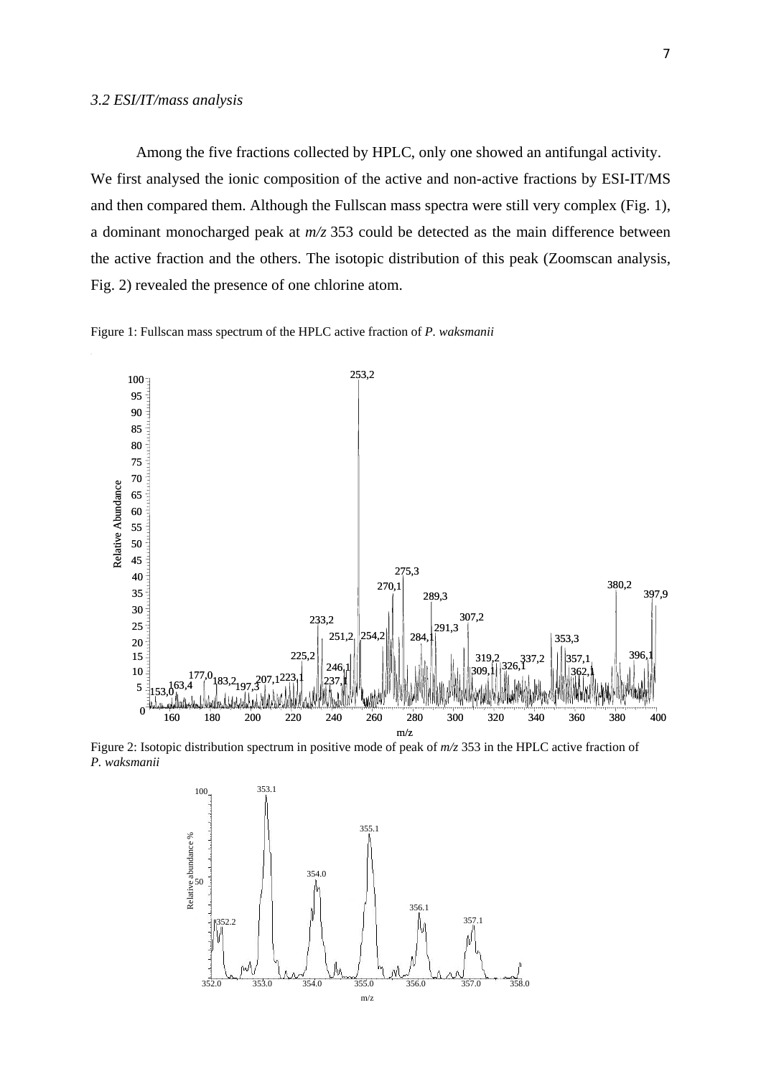#### *3.2 ESI/IT/mass analysis*

Among the five fractions collected by HPLC, only one showed an antifungal activity. We first analysed the ionic composition of the active and non-active fractions by ESI-IT/MS and then compared them. Although the Fullscan mass spectra were still very complex (Fig. 1), a dominant monocharged peak at *m/z* 353 could be detected as the main difference between the active fraction and the others. The isotopic distribution of this peak (Zoomscan analysis, Fig. 2) revealed the presence of one chlorine atom.





Figure 2: Isotopic distribution spectrum in positive mode of peak of *m/z* 353 in the HPLC active fraction of *P. waksmanii* 

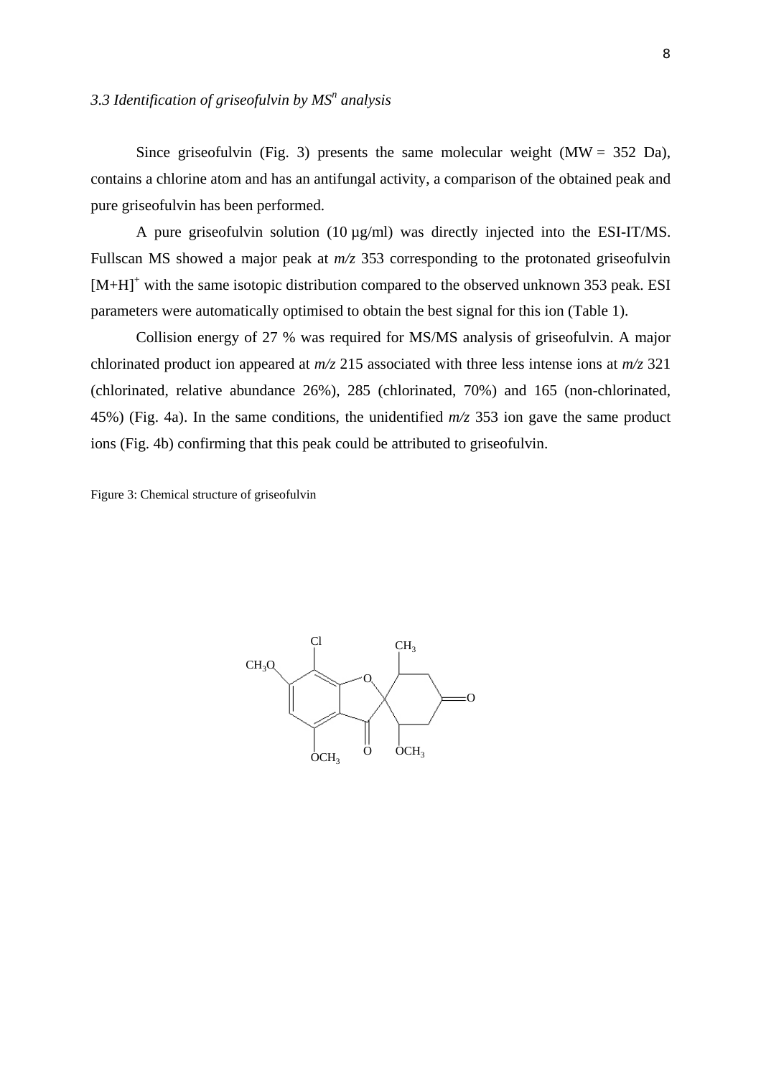# 3.3 Identification of griseofulvin by MS<sup>n</sup> analysis

Since griseofulvin (Fig. 3) presents the same molecular weight ( $MW = 352$  Da), contains a chlorine atom and has an antifungal activity, a comparison of the obtained peak and pure griseofulvin has been performed.

A pure griseofulvin solution (10 µg/ml) was directly injected into the ESI-IT/MS. Fullscan MS showed a major peak at *m/z* 353 corresponding to the protonated griseofulvin  $[M+H]$ <sup>+</sup> with the same isotopic distribution compared to the observed unknown 353 peak. ESI parameters were automatically optimised to obtain the best signal for this ion (Table 1).

Collision energy of 27 % was required for MS/MS analysis of griseofulvin. A major chlorinated product ion appeared at *m/z* 215 associated with three less intense ions at *m/z* 321 (chlorinated, relative abundance 26%), 285 (chlorinated, 70%) and 165 (non-chlorinated, 45%) (Fig. 4a). In the same conditions, the unidentified *m/z* 353 ion gave the same product ions (Fig. 4b) confirming that this peak could be attributed to griseofulvin.

Figure 3: Chemical structure of griseofulvin

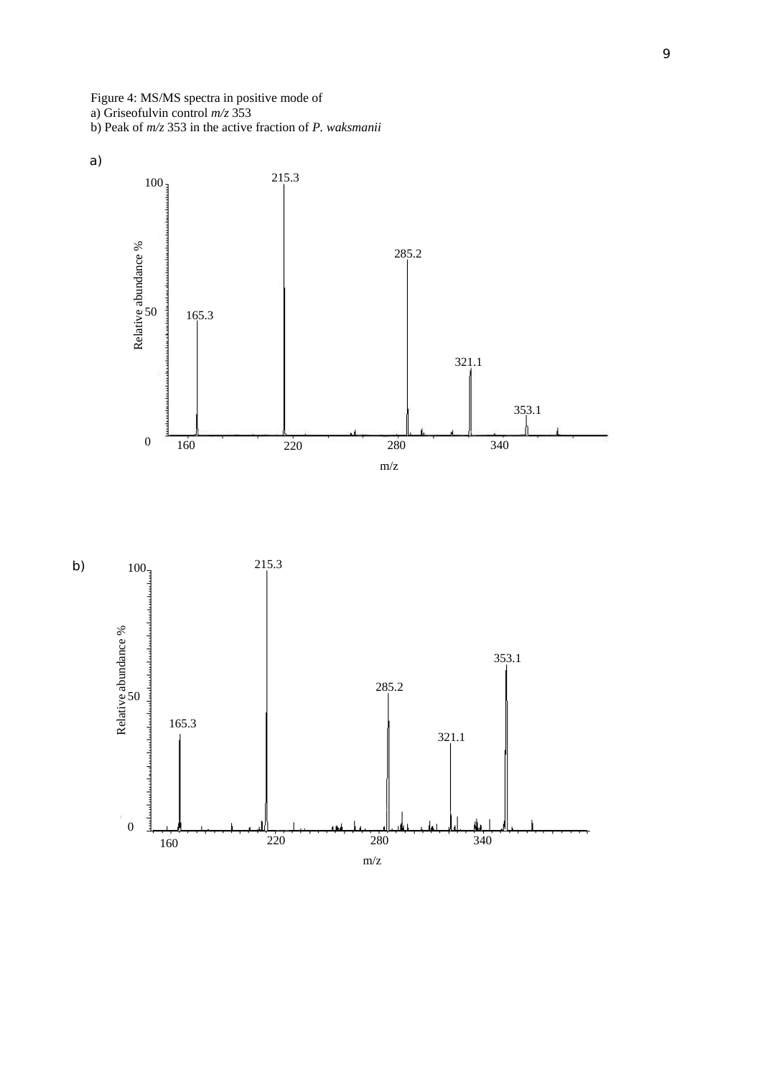Figure 4: MS/MS spectra in positive mode of a) Griseofulvin control *m/z* 353 b) Peak of *m/z* 353 in the active fraction of *P. waksmanii*



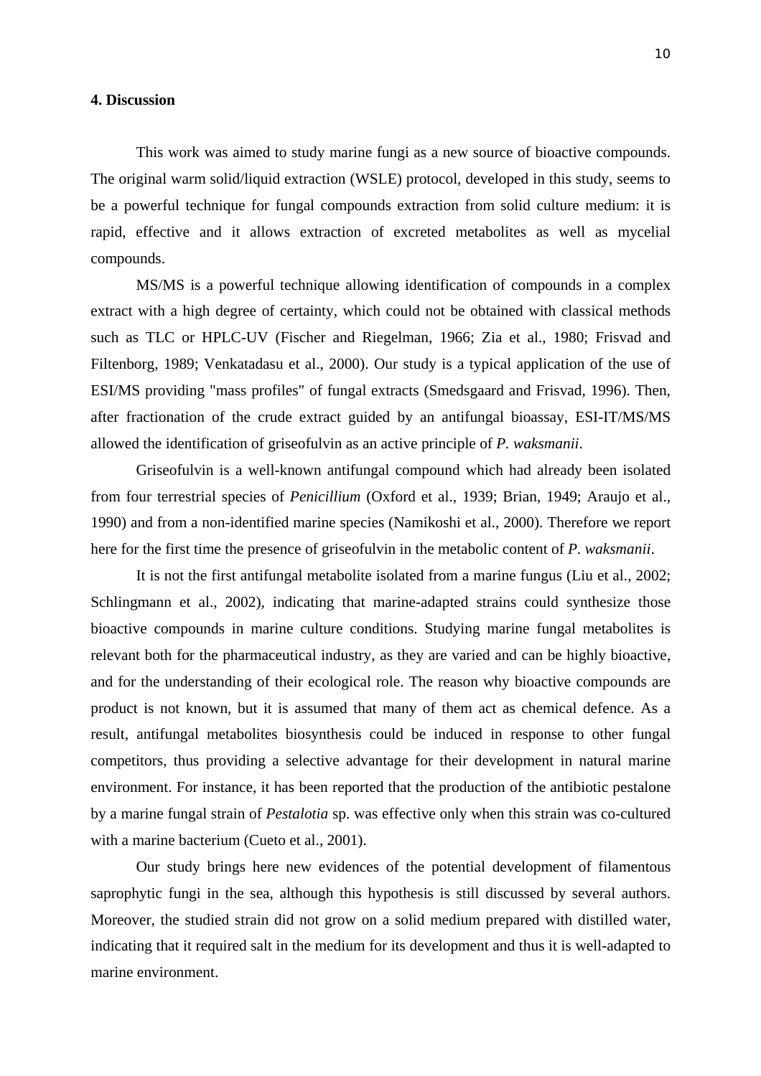#### **4. Discussion**

This work was aimed to study marine fungi as a new source of bioactive compounds. The original warm solid/liquid extraction (WSLE) protocol, developed in this study, seems to be a powerful technique for fungal compounds extraction from solid culture medium: it is rapid, effective and it allows extraction of excreted metabolites as well as mycelial compounds.

MS/MS is a powerful technique allowing identification of compounds in a complex extract with a high degree of certainty, which could not be obtained with classical methods such as TLC or HPLC-UV (Fischer and Riegelman, 1966; Zia et al., 1980; Frisvad and Filtenborg, 1989; Venkatadasu et al., 2000). Our study is a typical application of the use of ESI/MS providing "mass profiles" of fungal extracts (Smedsgaard and Frisvad, 1996). Then, after fractionation of the crude extract guided by an antifungal bioassay, ESI-IT/MS/MS allowed the identification of griseofulvin as an active principle of *P. waksmanii*.

Griseofulvin is a well-known antifungal compound which had already been isolated from four terrestrial species of *Penicillium* (Oxford et al., 1939; Brian, 1949; Araujo et al., 1990) and from a non-identified marine species (Namikoshi et al., 2000). Therefore we report here for the first time the presence of griseofulvin in the metabolic content of *P. waksmanii*.

It is not the first antifungal metabolite isolated from a marine fungus (Liu et al., 2002; Schlingmann et al., 2002), indicating that marine-adapted strains could synthesize those bioactive compounds in marine culture conditions. Studying marine fungal metabolites is relevant both for the pharmaceutical industry, as they are varied and can be highly bioactive, and for the understanding of their ecological role. The reason why bioactive compounds are product is not known, but it is assumed that many of them act as chemical defence. As a result, antifungal metabolites biosynthesis could be induced in response to other fungal competitors, thus providing a selective advantage for their development in natural marine environment. For instance, it has been reported that the production of the antibiotic pestalone by a marine fungal strain of *Pestalotia* sp. was effective only when this strain was co-cultured with a marine bacterium (Cueto et al., 2001).

Our study brings here new evidences of the potential development of filamentous saprophytic fungi in the sea, although this hypothesis is still discussed by several authors. Moreover, the studied strain did not grow on a solid medium prepared with distilled water, indicating that it required salt in the medium for its development and thus it is well-adapted to marine environment.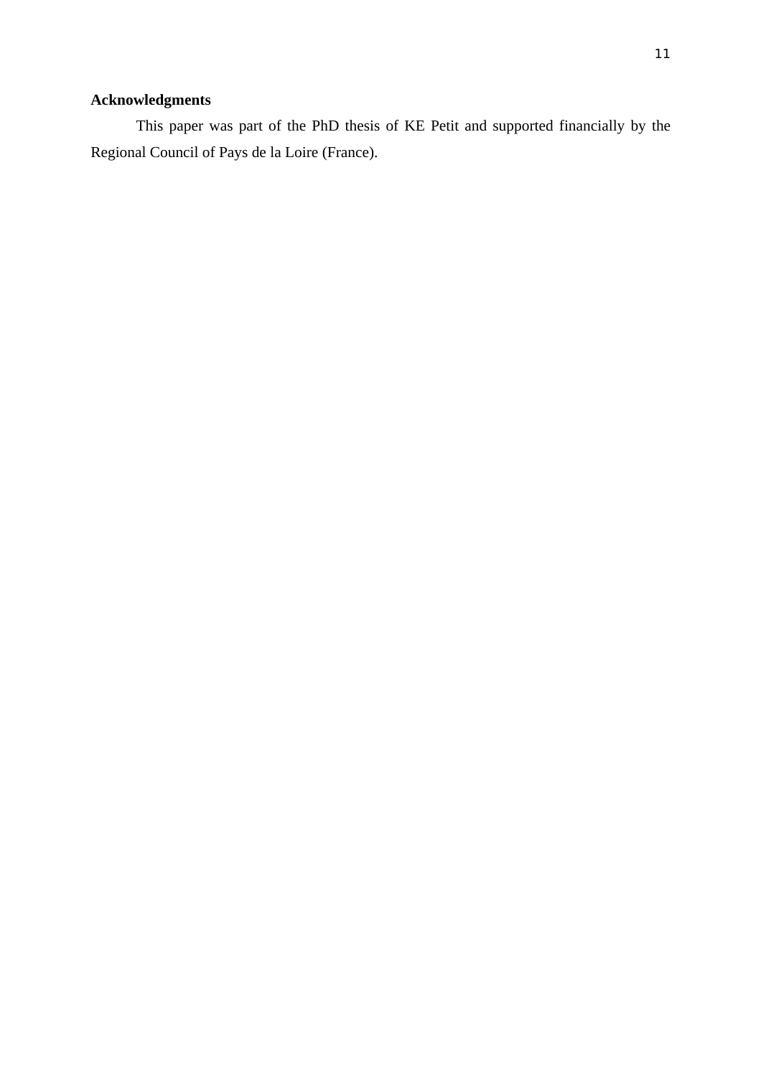# **Acknowledgments**

This paper was part of the PhD thesis of KE Petit and supported financially by the Regional Council of Pays de la Loire (France).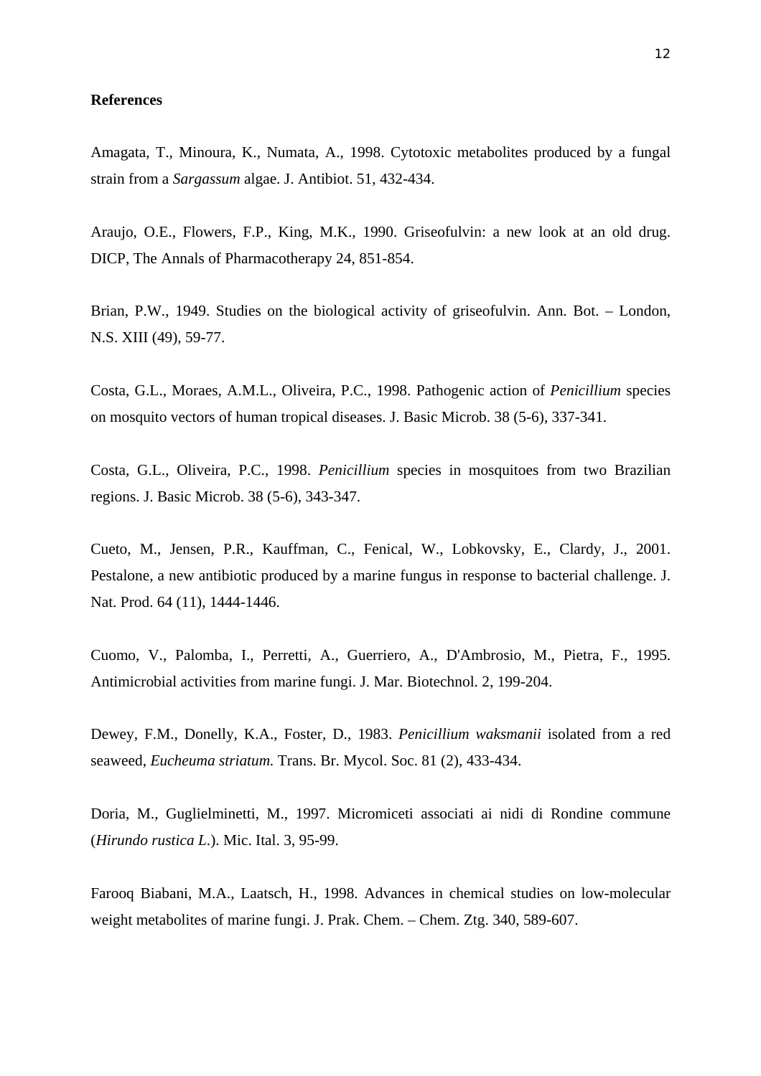#### **References**

Amagata, T., Minoura, K., Numata, A., 1998. Cytotoxic metabolites produced by a fungal strain from a *Sargassum* algae. J. Antibiot. 51, 432-434.

Araujo, O.E., Flowers, F.P., King, M.K., 1990. Griseofulvin: a new look at an old drug. DICP, The Annals of Pharmacotherapy 24, 851-854.

Brian, P.W., 1949. Studies on the biological activity of griseofulvin. Ann. Bot. – London, N.S. XIII (49), 59-77.

Costa, G.L., Moraes, A.M.L., Oliveira, P.C., 1998. Pathogenic action of *Penicillium* species on mosquito vectors of human tropical diseases. J. Basic Microb. 38 (5-6), 337-341.

Costa, G.L., Oliveira, P.C., 1998. *Penicillium* species in mosquitoes from two Brazilian regions. J. Basic Microb. 38 (5-6), 343-347.

Cueto, M., Jensen, P.R., Kauffman, C., Fenical, W., Lobkovsky, E., Clardy, J., 2001. Pestalone, a new antibiotic produced by a marine fungus in response to bacterial challenge. J. Nat. Prod. 64 (11), 1444-1446.

Cuomo, V., Palomba, I., Perretti, A., Guerriero, A., D'Ambrosio, M., Pietra, F., 1995. Antimicrobial activities from marine fungi. J. Mar. Biotechnol. 2, 199-204.

Dewey, F.M., Donelly, K.A., Foster, D., 1983. *Penicillium waksmanii* isolated from a red seaweed, *Eucheuma striatum.* Trans. Br. Mycol. Soc. 81 (2), 433-434.

Doria, M., Guglielminetti, M., 1997. Micromiceti associati ai nidi di Rondine commune (*Hirundo rustica L*.). Mic. Ital. 3, 95-99.

Farooq Biabani, M.A., Laatsch, H., 1998. Advances in chemical studies on low-molecular weight metabolites of marine fungi. J. Prak. Chem. – Chem. Ztg. 340, 589-607.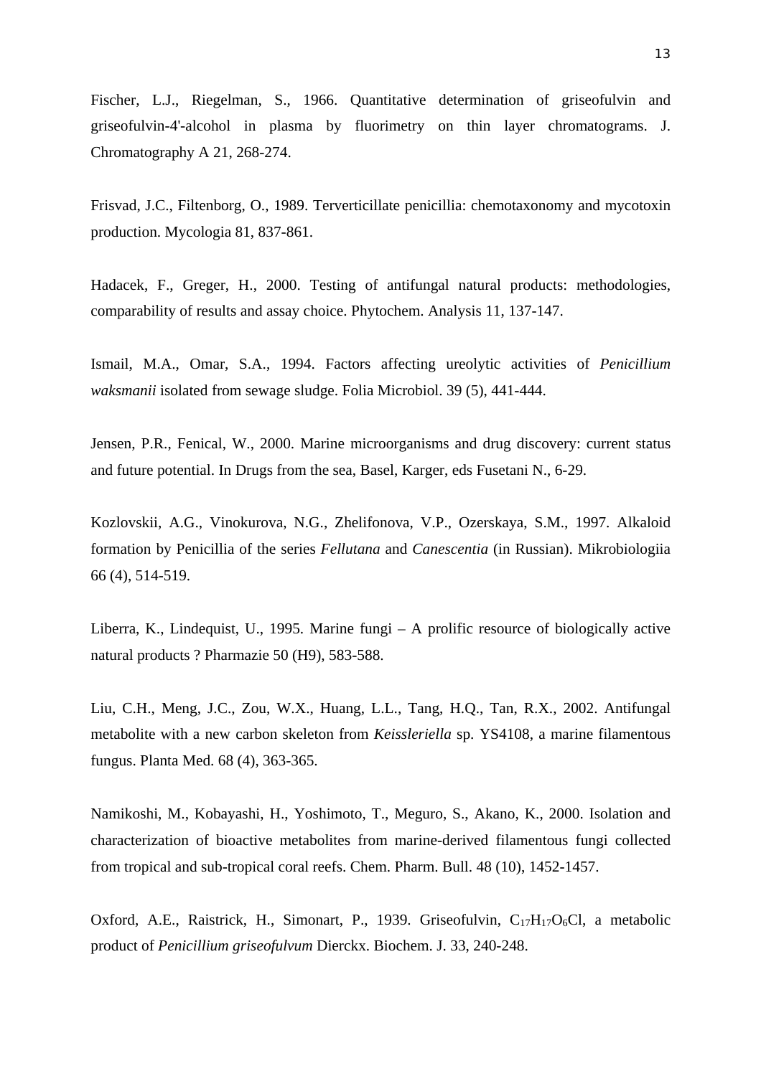Fischer, L.J., Riegelman, S., 1966. Quantitative determination of griseofulvin and griseofulvin-4'-alcohol in plasma by fluorimetry on thin layer chromatograms. J. Chromatography A 21, 268-274.

Frisvad, J.C., Filtenborg, O., 1989. Terverticillate penicillia: chemotaxonomy and mycotoxin production. Mycologia 81, 837-861.

Hadacek, F., Greger, H., 2000. Testing of antifungal natural products: methodologies, comparability of results and assay choice. Phytochem. Analysis 11, 137-147.

Ismail, M.A., Omar, S.A., 1994. Factors affecting ureolytic activities of *Penicillium waksmanii* isolated from sewage sludge. Folia Microbiol. 39 (5), 441-444.

Jensen, P.R., Fenical, W., 2000. Marine microorganisms and drug discovery: current status and future potential. In Drugs from the sea, Basel, Karger, eds Fusetani N., 6-29.

Kozlovskii, A.G., Vinokurova, N.G., Zhelifonova, V.P., Ozerskaya, S.M., 1997. Alkaloid formation by Penicillia of the series *Fellutana* and *Canescentia* (in Russian). Mikrobiologiia 66 (4), 514-519.

Liberra, K., Lindequist, U., 1995. Marine fungi – A prolific resource of biologically active natural products ? Pharmazie 50 (H9), 583-588.

Liu, C.H., Meng, J.C., Zou, W.X., Huang, L.L., Tang, H.Q., Tan, R.X., 2002. Antifungal metabolite with a new carbon skeleton from *Keissleriella* sp. YS4108, a marine filamentous fungus. Planta Med. 68 (4), 363-365.

Namikoshi, M., Kobayashi, H., Yoshimoto, T., Meguro, S., Akano, K., 2000. Isolation and characterization of bioactive metabolites from marine-derived filamentous fungi collected from tropical and sub-tropical coral reefs. Chem. Pharm. Bull. 48 (10), 1452-1457.

Oxford, A.E., Raistrick, H., Simonart, P., 1939. Griseofulvin,  $C_{17}H_{17}O_6Cl$ , a metabolic product of *Penicillium griseofulvum* Dierckx. Biochem. J. 33, 240-248.